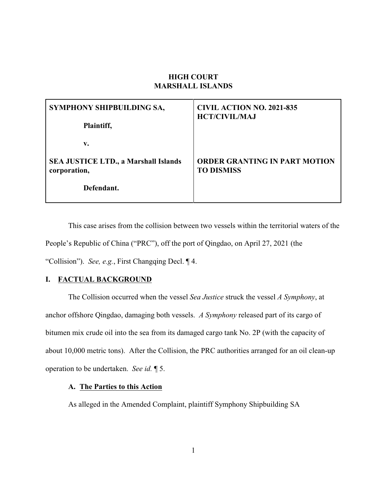# **HIGH COURT MARSHALL ISLANDS**

| SYMPHONY SHIPBUILDING SA,                   | <b>CIVIL ACTION NO. 2021-835</b>     |
|---------------------------------------------|--------------------------------------|
| Plaintiff,                                  | <b>HCT/CIVIL/MAJ</b>                 |
| v.                                          |                                      |
| <b>SEA JUSTICE LTD., a Marshall Islands</b> | <b>ORDER GRANTING IN PART MOTION</b> |
| corporation,                                | <b>TO DISMISS</b>                    |
| Defendant.                                  |                                      |

This case arises from the collision between two vessels within the territorial waters of the People's Republic of China ("PRC"), off the port of Qingdao, on April 27, 2021 (the "Collision"). *See, e.g.*, First Changqing Decl. ¶ 4.

# **I. FACTUAL BACKGROUND**

The Collision occurred when the vessel *Sea Justice* struck the vessel *A Symphony*, at anchor offshore Qingdao, damaging both vessels. *A Symphony* released part of its cargo of bitumen mix crude oil into the sea from its damaged cargo tank No. 2P (with the capacity of about 10,000 metric tons). After the Collision, the PRC authorities arranged for an oil clean-up operation to be undertaken. *See id.* ¶ 5.

## **A. The Parties to this Action**

As alleged in the Amended Complaint, plaintiff Symphony Shipbuilding SA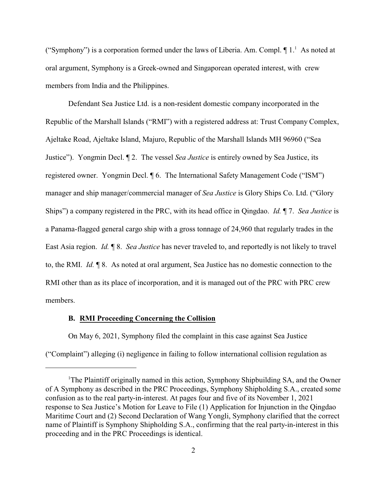("Symphony") is a corporation formed under the laws of Liberia. Am. Compl.  $\P$ 1.<sup>1</sup> As noted at oral argument, Symphony is a Greek-owned and Singaporean operated interest, with crew members from India and the Philippines.

Defendant Sea Justice Ltd. is a non-resident domestic company incorporated in the Republic of the Marshall Islands ("RMI") with a registered address at: Trust Company Complex, Ajeltake Road, Ajeltake Island, Majuro, Republic of the Marshall Islands MH 96960 ("Sea Justice"). Yongmin Decl. ¶ 2. The vessel *Sea Justice* is entirely owned by Sea Justice, its registered owner. Yongmin Decl. ¶ 6. The International Safety Management Code ("ISM") manager and ship manager/commercial manager of *Sea Justice* is Glory Ships Co. Ltd. ("Glory Ships") a company registered in the PRC, with its head office in Qingdao. *Id.* ¶ 7. *Sea Justice* is a Panama-flagged general cargo ship with a gross tonnage of 24,960 that regularly trades in the East Asia region. *Id.* ¶ 8. *Sea Justice* has never traveled to, and reportedly is not likely to travel to, the RMI. *Id.* ¶ 8. As noted at oral argument, Sea Justice has no domestic connection to the RMI other than as its place of incorporation, and it is managed out of the PRC with PRC crew members.

## **B. RMI Proceeding Concerning the Collision**

On May 6, 2021, Symphony filed the complaint in this case against Sea Justice ("Complaint") alleging (i) negligence in failing to follow international collision regulation as

<sup>&</sup>lt;sup>1</sup>The Plaintiff originally named in this action, Symphony Shipbuilding SA, and the Owner of A Symphony as described in the PRC Proceedings, Symphony Shipholding S.A., created some confusion as to the real party-in-interest. At pages four and five of its November 1, 2021 response to Sea Justice's Motion for Leave to File (1) Application for Injunction in the Qingdao Maritime Court and (2) Second Declaration of Wang Yongli, Symphony clarified that the correct name of Plaintiff is Symphony Shipholding S.A., confirming that the real party-in-interest in this proceeding and in the PRC Proceedings is identical.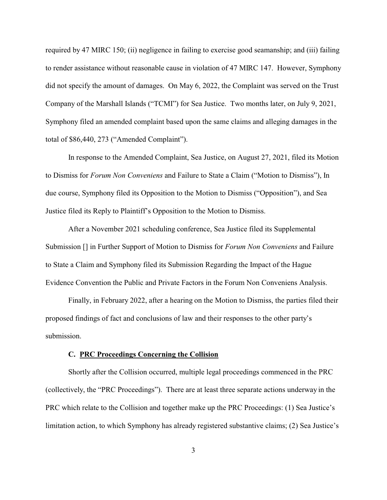required by 47 MIRC 150; (ii) negligence in failing to exercise good seamanship; and (iii) failing to render assistance without reasonable cause in violation of 47 MIRC 147. However, Symphony did not specify the amount of damages. On May 6, 2022, the Complaint was served on the Trust Company of the Marshall Islands ("TCMI") for Sea Justice. Two months later, on July 9, 2021, Symphony filed an amended complaint based upon the same claims and alleging damages in the total of \$86,440, 273 ("Amended Complaint").

In response to the Amended Complaint, Sea Justice, on August 27, 2021, filed its Motion to Dismiss for *Forum Non Conveniens* and Failure to State a Claim ("Motion to Dismiss"), In due course, Symphony filed its Opposition to the Motion to Dismiss ("Opposition"), and Sea Justice filed its Reply to Plaintiff's Opposition to the Motion to Dismiss.

After a November 2021 scheduling conference, Sea Justice filed its Supplemental Submission [] in Further Support of Motion to Dismiss for *Forum Non Conveniens* and Failure to State a Claim and Symphony filed its Submission Regarding the Impact of the Hague Evidence Convention the Public and Private Factors in the Forum Non Conveniens Analysis.

Finally, in February 2022, after a hearing on the Motion to Dismiss, the parties filed their proposed findings of fact and conclusions of law and their responses to the other party's submission.

## **C. PRC Proceedings Concerning the Collision**

Shortly after the Collision occurred, multiple legal proceedings commenced in the PRC (collectively, the "PRC Proceedings"). There are at least three separate actions underway in the PRC which relate to the Collision and together make up the PRC Proceedings: (1) Sea Justice's limitation action, to which Symphony has already registered substantive claims; (2) Sea Justice's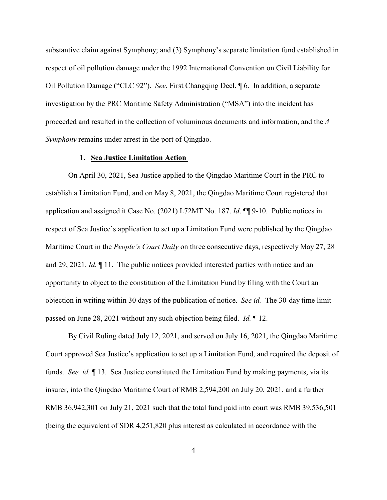substantive claim against Symphony; and (3) Symphony's separate limitation fund established in respect of oil pollution damage under the 1992 International Convention on Civil Liability for Oil Pollution Damage ("CLC 92"). *See*, First Changqing Decl. ¶ 6. In addition, a separate investigation by the PRC Maritime Safety Administration ("MSA") into the incident has proceeded and resulted in the collection of voluminous documents and information, and the *A Symphony* remains under arrest in the port of Qingdao.

## **1. Sea Justice Limitation Action**

On April 30, 2021, Sea Justice applied to the Qingdao Maritime Court in the PRC to establish a Limitation Fund, and on May 8, 2021, the Qingdao Maritime Court registered that application and assigned it Case No. (2021) L72MT No. 187. *Id*. ¶¶ 9-10. Public notices in respect of Sea Justice's application to set up a Limitation Fund were published by the Qingdao Maritime Court in the *People's Court Daily* on three consecutive days, respectively May 27, 28 and 29, 2021. *Id.* ¶ 11. The public notices provided interested parties with notice and an opportunity to object to the constitution of the Limitation Fund by filing with the Court an objection in writing within 30 days of the publication of notice. *See id.* The 30-day time limit passed on June 28, 2021 without any such objection being filed. *Id.* ¶ 12.

By Civil Ruling dated July 12, 2021, and served on July 16, 2021, the Qingdao Maritime Court approved Sea Justice's application to set up a Limitation Fund, and required the deposit of funds. *See id.* ¶ 13. Sea Justice constituted the Limitation Fund by making payments, via its insurer, into the Qingdao Maritime Court of RMB 2,594,200 on July 20, 2021, and a further RMB 36,942,301 on July 21, 2021 such that the total fund paid into court was RMB 39,536,501 (being the equivalent of SDR 4,251,820 plus interest as calculated in accordance with the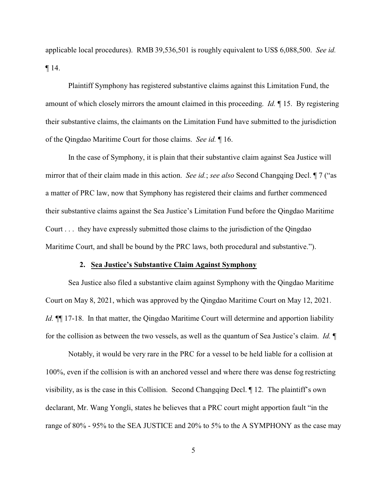applicable local procedures). RMB 39,536,501 is roughly equivalent to US\$ 6,088,500. *See id.* ¶ 14.

Plaintiff Symphony has registered substantive claims against this Limitation Fund, the amount of which closely mirrors the amount claimed in this proceeding. *Id.* ¶ 15. By registering their substantive claims, the claimants on the Limitation Fund have submitted to the jurisdiction of the Qingdao Maritime Court for those claims. *See id.* ¶ 16.

In the case of Symphony, it is plain that their substantive claim against Sea Justice will mirror that of their claim made in this action. *See id.*; *see also* Second Changqing Decl. ¶ 7 ("as a matter of PRC law, now that Symphony has registered their claims and further commenced their substantive claims against the Sea Justice's Limitation Fund before the Qingdao Maritime Court . . . they have expressly submitted those claims to the jurisdiction of the Qingdao Maritime Court, and shall be bound by the PRC laws, both procedural and substantive.").

#### **2. Sea Justice's Substantive Claim Against Symphony**

Sea Justice also filed a substantive claim against Symphony with the Qingdao Maritime Court on May 8, 2021, which was approved by the Qingdao Maritime Court on May 12, 2021. *Id.*  $\P$  17-18. In that matter, the Qingdao Maritime Court will determine and apportion liability for the collision as between the two vessels, as well as the quantum of Sea Justice's claim. *Id.* ¶

Notably, it would be very rare in the PRC for a vessel to be held liable for a collision at 100%, even if the collision is with an anchored vessel and where there was dense fog restricting visibility, as is the case in this Collision. Second Changqing Decl. ¶ 12. The plaintiff's own declarant, Mr. Wang Yongli, states he believes that a PRC court might apportion fault "in the range of 80% - 95% to the SEA JUSTICE and 20% to 5% to the A SYMPHONY as the case may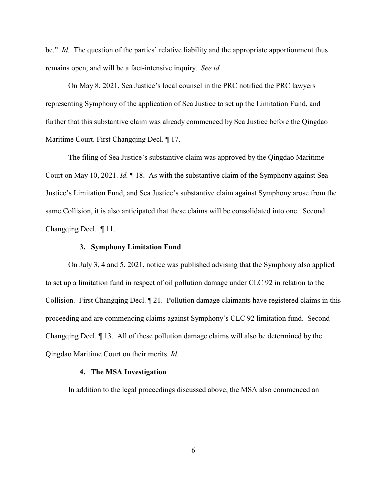be." *Id.* The question of the parties' relative liability and the appropriate apportionment thus remains open, and will be a fact-intensive inquiry. *See id.* 

On May 8, 2021, Sea Justice's local counsel in the PRC notified the PRC lawyers representing Symphony of the application of Sea Justice to set up the Limitation Fund, and further that this substantive claim was already commenced by Sea Justice before the Qingdao Maritime Court. First Changqing Decl. ¶ 17.

The filing of Sea Justice's substantive claim was approved by the Qingdao Maritime Court on May 10, 2021. *Id.* ¶ 18. As with the substantive claim of the Symphony against Sea Justice's Limitation Fund, and Sea Justice's substantive claim against Symphony arose from the same Collision, it is also anticipated that these claims will be consolidated into one. Second Changqing Decl. ¶ 11.

## **3. Symphony Limitation Fund**

On July 3, 4 and 5, 2021, notice was published advising that the Symphony also applied to set up a limitation fund in respect of oil pollution damage under CLC 92 in relation to the Collision. First Changqing Decl. ¶ 21. Pollution damage claimants have registered claims in this proceeding and are commencing claims against Symphony's CLC 92 limitation fund. Second Changqing Decl. ¶ 13. All of these pollution damage claims will also be determined by the Qingdao Maritime Court on their merits. *Id.* 

## **4. The MSA Investigation**

In addition to the legal proceedings discussed above, the MSA also commenced an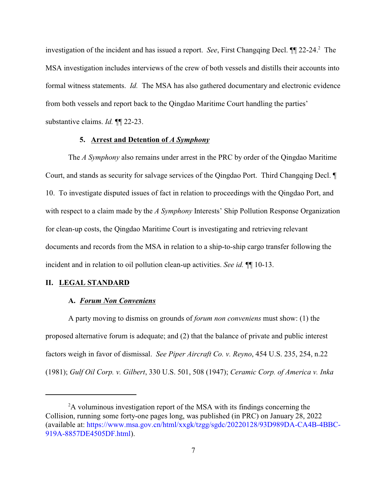investigation of the incident and has issued a report. *See*, First Changqing Decl. ¶¶ 22-24.<sup>2</sup> The MSA investigation includes interviews of the crew of both vessels and distills their accounts into formal witness statements. *Id.* The MSA has also gathered documentary and electronic evidence from both vessels and report back to the Qingdao Maritime Court handling the parties' substantive claims. *Id.* ¶¶ 22-23.

## **5. Arrest and Detention of** *A Symphony*

The *A Symphony* also remains under arrest in the PRC by order of the Qingdao Maritime Court, and stands as security for salvage services of the Qingdao Port. Third Changqing Decl. ¶ 10. To investigate disputed issues of fact in relation to proceedings with the Qingdao Port, and with respect to a claim made by the *A Symphony* Interests' Ship Pollution Response Organization for clean-up costs, the Qingdao Maritime Court is investigating and retrieving relevant documents and records from the MSA in relation to a ship-to-ship cargo transfer following the incident and in relation to oil pollution clean-up activities. *See id.* ¶¶ 10-13.

## **II. LEGAL STANDARD**

## **A.** *Forum Non Conveniens*

A party moving to dismiss on grounds of *forum non conveniens* must show: (1) the proposed alternative forum is adequate; and (2) that the balance of private and public interest factors weigh in favor of dismissal. *See Piper Aircraft Co. v. Reyno*, 454 U.S. 235, 254, n.22 (1981); *Gulf Oil Corp. v. Gilbert*, 330 U.S. 501, 508 (1947); *Ceramic Corp. of America v. Inka*

<sup>&</sup>lt;sup>2</sup>A voluminous investigation report of the MSA with its findings concerning the Collision, running some forty-one pages long, was published (in PRC) on January 28, 2022 (available at: https://www.msa.gov.cn/html/xxgk/tzgg/sgdc/20220128/93D989DA-CA4B-4BBC-919A-8857DE4505DF.html).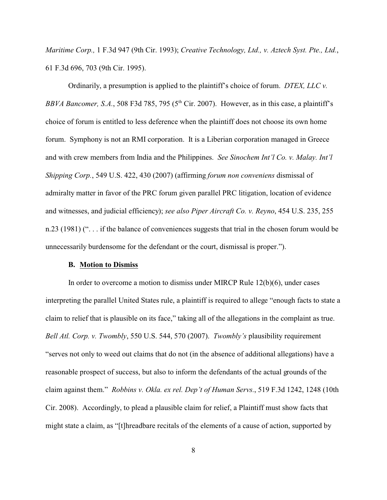*Maritime Corp.,* 1 F.3d 947 (9th Cir. 1993); *Creative Technology, Ltd., v. Aztech Syst. Pte., Ltd.*, 61 F.3d 696, 703 (9th Cir. 1995).

Ordinarily, a presumption is applied to the plaintiff's choice of forum. *DTEX, LLC v.* BBVA Bancomer, S.A., 508 F3d 785, 795 (5<sup>th</sup> Cir. 2007). However, as in this case, a plaintiff's choice of forum is entitled to less deference when the plaintiff does not choose its own home forum. Symphony is not an RMI corporation. It is a Liberian corporation managed in Greece and with crew members from India and the Philippines. *See Sinochem Int'l Co. v. Malay. Int'l Shipping Corp.*, 549 U.S. 422, 430 (2007) (affirming *forum non conveniens* dismissal of admiralty matter in favor of the PRC forum given parallel PRC litigation, location of evidence and witnesses, and judicial efficiency); *see also Piper Aircraft Co. v. Reyno*, 454 U.S. 235, 255 n.23 (1981) (". . . if the balance of conveniences suggests that trial in the chosen forum would be unnecessarily burdensome for the defendant or the court, dismissal is proper.").

## **B. Motion to Dismiss**

In order to overcome a motion to dismiss under MIRCP Rule 12(b)(6), under cases interpreting the parallel United States rule, a plaintiff is required to allege "enough facts to state a claim to relief that is plausible on its face," taking all of the allegations in the complaint as true. *Bell Atl. Corp. v. Twombly*, 550 U.S. 544, 570 (2007). *Twombly's* plausibility requirement "serves not only to weed out claims that do not (in the absence of additional allegations) have a reasonable prospect of success, but also to inform the defendants of the actual grounds of the claim against them." *Robbins v. Okla. ex rel. Dep't of Human Servs.*, 519 F.3d 1242, 1248 (10th Cir. 2008). Accordingly, to plead a plausible claim for relief, a Plaintiff must show facts that might state a claim, as "[t]hreadbare recitals of the elements of a cause of action, supported by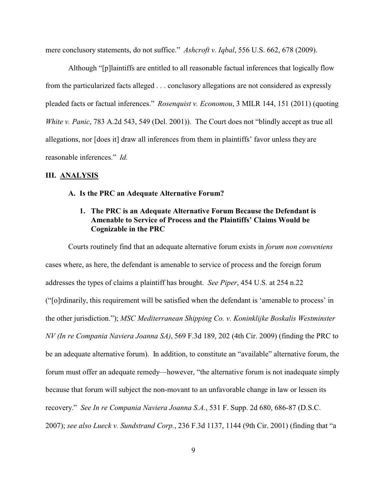mere conclusory statements, do not suffice." *Ashcroft v. Iqbal*, 556 U.S. 662, 678 (2009).

Although "[p]laintiffs are entitled to all reasonable factual inferences that logically flow from the particularized facts alleged . . . conclusory allegations are not considered as expressly pleaded facts or factual inferences." *Rosenquist v. Economou*, 3 MILR 144, 151 (2011) (quoting *White v. Panic*, 783 A.2d 543, 549 (Del. 2001)). The Court does not "blindly accept as true all allegations, nor [does it] draw all inferences from them in plaintiffs' favor unless they are reasonable inferences." *Id.*

## **III. ANALYSIS**

#### **A. Is the PRC an Adequate Alternative Forum?**

# **1. The PRC is an Adequate Alternative Forum Because the Defendant is Amenable to Service of Process and the Plaintiffs' Claims Would be Cognizable in the PRC**

Courts routinely find that an adequate alternative forum exists in *forum non conveniens* cases where, as here, the defendant is amenable to service of process and the foreign forum addresses the types of claims a plaintiff has brought. *See Piper*, 454 U.S. at 254 n.22 ("[o]rdinarily, this requirement will be satisfied when the defendant is 'amenable to process' in the other jurisdiction."); *MSC Mediterranean Shipping Co. v. Koninklijke Boskalis Westminster NV (In re Compania Naviera Joanna SA)*, 569 F.3d 189, 202 (4th Cir. 2009) (finding the PRC to be an adequate alternative forum). In addition, to constitute an "available" alternative forum, the forum must offer an adequate remedy—however, "the alternative forum is not inadequate simply because that forum will subject the non-movant to an unfavorable change in law or lessen its recovery." *See In re Compania Naviera Joanna S.A.*, 531 F. Supp. 2d 680, 686-87 (D.S.C. 2007); *see also Lueck v. Sundstrand Corp.*, 236 F.3d 1137, 1144 (9th Cir. 2001) (finding that "a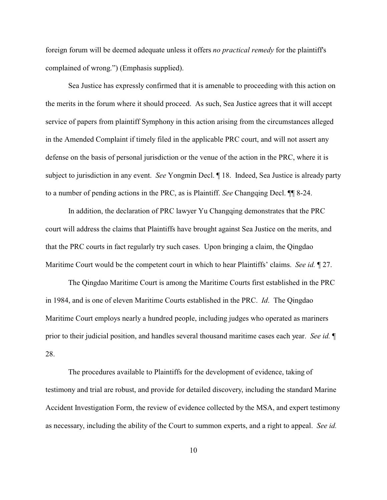foreign forum will be deemed adequate unless it offers *no practical remedy* for the plaintiff's complained of wrong.") (Emphasis supplied).

Sea Justice has expressly confirmed that it is amenable to proceeding with this action on the merits in the forum where it should proceed. As such, Sea Justice agrees that it will accept service of papers from plaintiff Symphony in this action arising from the circumstances alleged in the Amended Complaint if timely filed in the applicable PRC court, and will not assert any defense on the basis of personal jurisdiction or the venue of the action in the PRC, where it is subject to jurisdiction in any event. *See* Yongmin Decl. ¶ 18. Indeed, Sea Justice is already party to a number of pending actions in the PRC, as is Plaintiff. *See* Changqing Decl. ¶¶ 8-24.

In addition, the declaration of PRC lawyer Yu Changqing demonstrates that the PRC court will address the claims that Plaintiffs have brought against Sea Justice on the merits, and that the PRC courts in fact regularly try such cases. Upon bringing a claim, the Qingdao Maritime Court would be the competent court in which to hear Plaintiffs' claims. *See id.* ¶ 27.

The Qingdao Maritime Court is among the Maritime Courts first established in the PRC in 1984, and is one of eleven Maritime Courts established in the PRC. *Id*. The Qingdao Maritime Court employs nearly a hundred people, including judges who operated as mariners prior to their judicial position, and handles several thousand maritime cases each year. *See id.* ¶ 28.

The procedures available to Plaintiffs for the development of evidence, taking of testimony and trial are robust, and provide for detailed discovery, including the standard Marine Accident Investigation Form, the review of evidence collected by the MSA, and expert testimony as necessary, including the ability of the Court to summon experts, and a right to appeal. *See id.*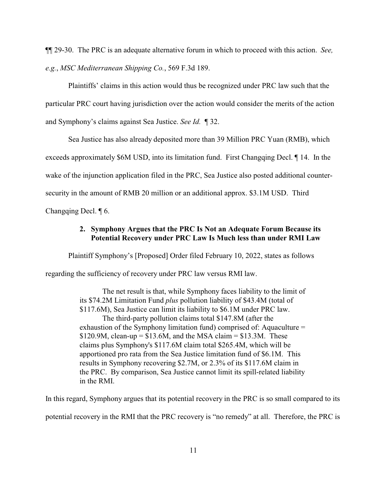¶¶ 29-30. The PRC is an adequate alternative forum in which to proceed with this action. *See, e.g.*, *MSC Mediterranean Shipping Co.*, 569 F.3d 189.

Plaintiffs' claims in this action would thus be recognized under PRC law such that the particular PRC court having jurisdiction over the action would consider the merits of the action and Symphony's claims against Sea Justice. *See Id.* ¶ 32.

Sea Justice has also already deposited more than 39 Million PRC Yuan (RMB), which exceeds approximately \$6M USD, into its limitation fund. First Changqing Decl. ¶ 14. In the wake of the injunction application filed in the PRC, Sea Justice also posted additional countersecurity in the amount of RMB 20 million or an additional approx. \$3.1M USD. Third Changqing Decl. ¶ 6.

> **2. Symphony Argues that the PRC Is Not an Adequate Forum Because its Potential Recovery under PRC Law Is Much less than under RMI Law**

Plaintiff Symphony's [Proposed] Order filed February 10, 2022, states as follows

regarding the sufficiency of recovery under PRC law versus RMI law.

The net result is that, while Symphony faces liability to the limit of its \$74.2M Limitation Fund *plus* pollution liability of \$43.4M (total of \$117.6M), Sea Justice can limit its liability to \$6.1M under PRC law. The third-party pollution claims total \$147.8M (after the exhaustion of the Symphony limitation fund) comprised of: Aquaculture =  $$120.9M$ , clean-up =  $$13.6M$ , and the MSA claim =  $$13.3M$ . These claims plus Symphony's \$117.6M claim total \$265.4M, which will be apportioned pro rata from the Sea Justice limitation fund of \$6.1M. This results in Symphony recovering \$2.7M, or 2.3% of its \$117.6M claim in the PRC. By comparison, Sea Justice cannot limit its spill-related liability in the RMI.

In this regard, Symphony argues that its potential recovery in the PRC is so small compared to its

potential recovery in the RMI that the PRC recovery is "no remedy" at all. Therefore, the PRC is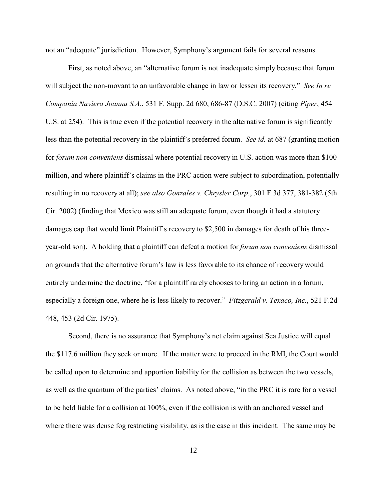not an "adequate" jurisdiction. However, Symphony's argument fails for several reasons.

First, as noted above, an "alternative forum is not inadequate simply because that forum will subject the non-movant to an unfavorable change in law or lessen its recovery." *See In re Compania Naviera Joanna S.A*., 531 F. Supp. 2d 680, 686-87 (D.S.C. 2007) (citing *Piper*, 454 U.S. at 254). This is true even if the potential recovery in the alternative forum is significantly less than the potential recovery in the plaintiff's preferred forum. *See id.* at 687 (granting motion for *forum non conveniens* dismissal where potential recovery in U.S. action was more than \$100 million, and where plaintiff's claims in the PRC action were subject to subordination, potentially resulting in no recovery at all); *see also Gonzales v. Chrysler Corp.*, 301 F.3d 377, 381-382 (5th Cir. 2002) (finding that Mexico was still an adequate forum, even though it had a statutory damages cap that would limit Plaintiff's recovery to \$2,500 in damages for death of his threeyear-old son). A holding that a plaintiff can defeat a motion for *forum non conveniens* dismissal on grounds that the alternative forum's law is less favorable to its chance of recovery would entirely undermine the doctrine, "for a plaintiff rarely chooses to bring an action in a forum, especially a foreign one, where he is less likely to recover." *Fitzgerald v. Texaco, Inc.*, 521 F.2d 448, 453 (2d Cir. 1975).

Second, there is no assurance that Symphony's net claim against Sea Justice will equal the \$117.6 million they seek or more. If the matter were to proceed in the RMI, the Court would be called upon to determine and apportion liability for the collision as between the two vessels, as well as the quantum of the parties' claims. As noted above, "in the PRC it is rare for a vessel to be held liable for a collision at 100%, even if the collision is with an anchored vessel and where there was dense fog restricting visibility, as is the case in this incident. The same may be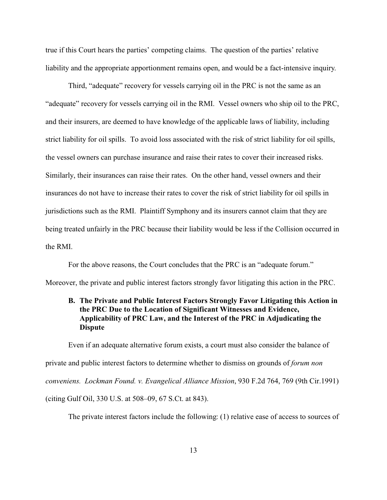true if this Court hears the parties' competing claims. The question of the parties' relative liability and the appropriate apportionment remains open, and would be a fact-intensive inquiry.

Third, "adequate" recovery for vessels carrying oil in the PRC is not the same as an "adequate" recovery for vessels carrying oil in the RMI. Vessel owners who ship oil to the PRC, and their insurers, are deemed to have knowledge of the applicable laws of liability, including strict liability for oil spills. To avoid loss associated with the risk of strict liability for oil spills, the vessel owners can purchase insurance and raise their rates to cover their increased risks. Similarly, their insurances can raise their rates. On the other hand, vessel owners and their insurances do not have to increase their rates to cover the risk of strict liability for oil spills in jurisdictions such as the RMI. Plaintiff Symphony and its insurers cannot claim that they are being treated unfairly in the PRC because their liability would be less if the Collision occurred in the RMI.

For the above reasons, the Court concludes that the PRC is an "adequate forum." Moreover, the private and public interest factors strongly favor litigating this action in the PRC.

# **B. The Private and Public Interest Factors Strongly Favor Litigating this Action in the PRC Due to the Location of Significant Witnesses and Evidence, Applicability of PRC Law, and the Interest of the PRC in Adjudicating the Dispute**

Even if an adequate alternative forum exists, a court must also consider the balance of private and public interest factors to determine whether to dismiss on grounds of *forum non conveniens. Lockman Found. v. Evangelical Alliance Mission*, 930 F.2d 764, 769 (9th Cir.1991) (citing Gulf Oil, 330 U.S. at 508–09, 67 S.Ct. at 843).

The private interest factors include the following: (1) relative ease of access to sources of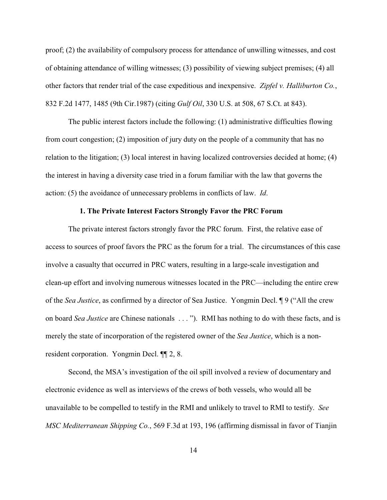proof; (2) the availability of compulsory process for attendance of unwilling witnesses, and cost of obtaining attendance of willing witnesses; (3) possibility of viewing subject premises; (4) all other factors that render trial of the case expeditious and inexpensive. *Zipfel v. Halliburton Co.*, 832 F.2d 1477, 1485 (9th Cir.1987) (citing *Gulf Oil*, 330 U.S. at 508, 67 S.Ct. at 843).

The public interest factors include the following: (1) administrative difficulties flowing from court congestion; (2) imposition of jury duty on the people of a community that has no relation to the litigation; (3) local interest in having localized controversies decided at home; (4) the interest in having a diversity case tried in a forum familiar with the law that governs the action: (5) the avoidance of unnecessary problems in conflicts of law. *Id*.

## **1. The Private Interest Factors Strongly Favor the PRC Forum**

The private interest factors strongly favor the PRC forum. First, the relative ease of access to sources of proof favors the PRC as the forum for a trial. The circumstances of this case involve a casualty that occurred in PRC waters, resulting in a large-scale investigation and clean-up effort and involving numerous witnesses located in the PRC—including the entire crew of the *Sea Justice*, as confirmed by a director of Sea Justice. Yongmin Decl. ¶ 9 ("All the crew on board *Sea Justice* are Chinese nationals . . . "). RMI has nothing to do with these facts, and is merely the state of incorporation of the registered owner of the *Sea Justice*, which is a nonresident corporation. Yongmin Decl. ¶¶ 2, 8.

Second, the MSA's investigation of the oil spill involved a review of documentary and electronic evidence as well as interviews of the crews of both vessels, who would all be unavailable to be compelled to testify in the RMI and unlikely to travel to RMI to testify. *See MSC Mediterranean Shipping Co.*, 569 F.3d at 193, 196 (affirming dismissal in favor of Tianjin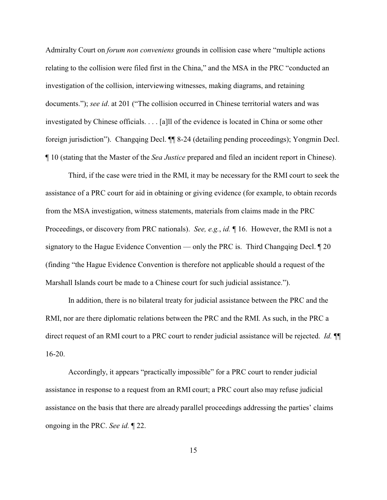Admiralty Court on *forum non conveniens* grounds in collision case where "multiple actions relating to the collision were filed first in the China," and the MSA in the PRC "conducted an investigation of the collision, interviewing witnesses, making diagrams, and retaining documents."); *see id*. at 201 ("The collision occurred in Chinese territorial waters and was investigated by Chinese officials. . . . [a]ll of the evidence is located in China or some other foreign jurisdiction"). Changqing Decl. ¶¶ 8-24 (detailing pending proceedings); Yongmin Decl. ¶ 10 (stating that the Master of the *Sea Justice* prepared and filed an incident report in Chinese).

Third, if the case were tried in the RMI, it may be necessary for the RMI court to seek the assistance of a PRC court for aid in obtaining or giving evidence (for example, to obtain records from the MSA investigation, witness statements, materials from claims made in the PRC Proceedings, or discovery from PRC nationals). *See, e.g.*, *id.* ¶ 16. However, the RMI is not a signatory to the Hague Evidence Convention — only the PRC is. Third Changqing Decl. ¶ 20 (finding "the Hague Evidence Convention is therefore not applicable should a request of the Marshall Islands court be made to a Chinese court for such judicial assistance.").

In addition, there is no bilateral treaty for judicial assistance between the PRC and the RMI, nor are there diplomatic relations between the PRC and the RMI. As such, in the PRC a direct request of an RMI court to a PRC court to render judicial assistance will be rejected. *Id.* ¶¶ 16-20.

Accordingly, it appears "practically impossible" for a PRC court to render judicial assistance in response to a request from an RMI court; a PRC court also may refuse judicial assistance on the basis that there are already parallel proceedings addressing the parties' claims ongoing in the PRC. *See id.* ¶ 22.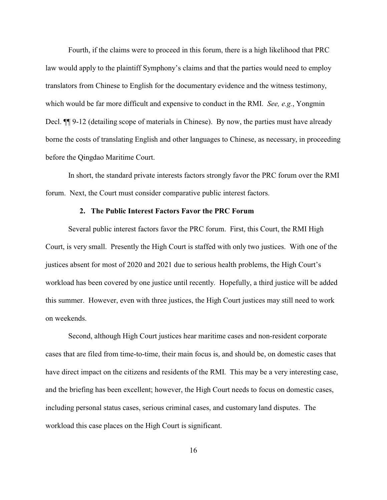Fourth, if the claims were to proceed in this forum, there is a high likelihood that PRC law would apply to the plaintiff Symphony's claims and that the parties would need to employ translators from Chinese to English for the documentary evidence and the witness testimony, which would be far more difficult and expensive to conduct in the RMI. *See, e.g.*, Yongmin Decl.  $\P$  9-12 (detailing scope of materials in Chinese). By now, the parties must have already borne the costs of translating English and other languages to Chinese, as necessary, in proceeding before the Qingdao Maritime Court.

In short, the standard private interests factors strongly favor the PRC forum over the RMI forum. Next, the Court must consider comparative public interest factors.

## **2. The Public Interest Factors Favor the PRC Forum**

Several public interest factors favor the PRC forum. First, this Court, the RMI High Court, is very small. Presently the High Court is staffed with only two justices. With one of the justices absent for most of 2020 and 2021 due to serious health problems, the High Court's workload has been covered by one justice until recently. Hopefully, a third justice will be added this summer. However, even with three justices, the High Court justices may still need to work on weekends.

Second, although High Court justices hear maritime cases and non-resident corporate cases that are filed from time-to-time, their main focus is, and should be, on domestic cases that have direct impact on the citizens and residents of the RMI. This may be a very interesting case, and the briefing has been excellent; however, the High Court needs to focus on domestic cases, including personal status cases, serious criminal cases, and customary land disputes. The workload this case places on the High Court is significant.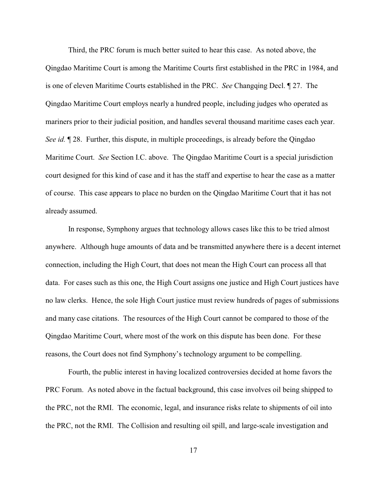Third, the PRC forum is much better suited to hear this case. As noted above, the Qingdao Maritime Court is among the Maritime Courts first established in the PRC in 1984, and is one of eleven Maritime Courts established in the PRC. *See* Changqing Decl. ¶ 27. The Qingdao Maritime Court employs nearly a hundred people, including judges who operated as mariners prior to their judicial position, and handles several thousand maritime cases each year. *See id.*  $\sqrt{ }$  28. Further, this dispute, in multiple proceedings, is already before the Qingdao Maritime Court. *See* Section I.C. above. The Qingdao Maritime Court is a special jurisdiction court designed for this kind of case and it has the staff and expertise to hear the case as a matter of course. This case appears to place no burden on the Qingdao Maritime Court that it has not already assumed.

In response, Symphony argues that technology allows cases like this to be tried almost anywhere. Although huge amounts of data and be transmitted anywhere there is a decent internet connection, including the High Court, that does not mean the High Court can process all that data. For cases such as this one, the High Court assigns one justice and High Court justices have no law clerks. Hence, the sole High Court justice must review hundreds of pages of submissions and many case citations. The resources of the High Court cannot be compared to those of the Qingdao Maritime Court, where most of the work on this dispute has been done. For these reasons, the Court does not find Symphony's technology argument to be compelling.

Fourth, the public interest in having localized controversies decided at home favors the PRC Forum. As noted above in the factual background, this case involves oil being shipped to the PRC, not the RMI. The economic, legal, and insurance risks relate to shipments of oil into the PRC, not the RMI. The Collision and resulting oil spill, and large-scale investigation and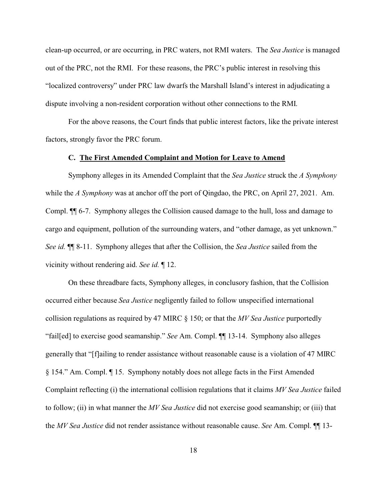clean-up occurred, or are occurring, in PRC waters, not RMI waters. The *Sea Justice* is managed out of the PRC, not the RMI. For these reasons, the PRC's public interest in resolving this "localized controversy" under PRC law dwarfs the Marshall Island's interest in adjudicating a dispute involving a non-resident corporation without other connections to the RMI.

For the above reasons, the Court finds that public interest factors, like the private interest factors, strongly favor the PRC forum.

## **C. The First Amended Complaint and Motion for Leave to Amend**

Symphony alleges in its Amended Complaint that the *Sea Justice* struck the *A Symphony* while the *A Symphony* was at anchor off the port of Qingdao, the PRC, on April 27, 2021. Am. Compl. ¶¶ 6-7. Symphony alleges the Collision caused damage to the hull, loss and damage to cargo and equipment, pollution of the surrounding waters, and "other damage, as yet unknown." *See id.* ¶¶ 8-11. Symphony alleges that after the Collision, the *Sea Justice* sailed from the vicinity without rendering aid. *See id.* ¶ 12.

On these threadbare facts, Symphony alleges, in conclusory fashion, that the Collision occurred either because *Sea Justice* negligently failed to follow unspecified international collision regulations as required by 47 MIRC § 150; or that the *MV Sea Justice* purportedly "fail[ed] to exercise good seamanship." *See* Am. Compl. ¶¶ 13-14. Symphony also alleges generally that "[f]ailing to render assistance without reasonable cause is a violation of 47 MIRC § 154." Am. Compl. ¶ 15. Symphony notably does not allege facts in the First Amended Complaint reflecting (i) the international collision regulations that it claims *MV Sea Justice* failed to follow; (ii) in what manner the *MV Sea Justice* did not exercise good seamanship; or (iii) that the *MV Sea Justice* did not render assistance without reasonable cause. *See* Am. Compl. ¶¶ 13-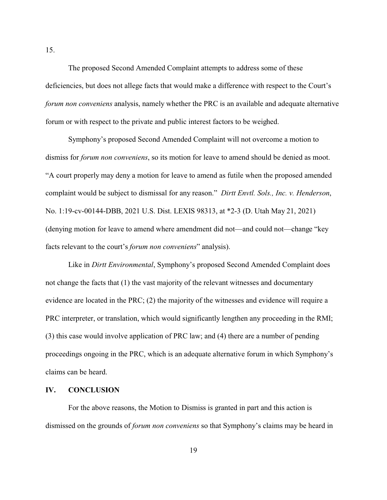The proposed Second Amended Complaint attempts to address some of these deficiencies, but does not allege facts that would make a difference with respect to the Court's *forum non conveniens* analysis, namely whether the PRC is an available and adequate alternative forum or with respect to the private and public interest factors to be weighed.

Symphony's proposed Second Amended Complaint will not overcome a motion to dismiss for *forum non conveniens*, so its motion for leave to amend should be denied as moot. "A court properly may deny a motion for leave to amend as futile when the proposed amended complaint would be subject to dismissal for any reason." *Dirtt Envtl. Sols., Inc. v. Henderson*, No. 1:19-cv-00144-DBB, 2021 U.S. Dist. LEXIS 98313, at \*2-3 (D. Utah May 21, 2021) (denying motion for leave to amend where amendment did not—and could not—change "key facts relevant to the court's *forum non conveniens*" analysis).

Like in *Dirtt Environmental*, Symphony's proposed Second Amended Complaint does not change the facts that (1) the vast majority of the relevant witnesses and documentary evidence are located in the PRC; (2) the majority of the witnesses and evidence will require a PRC interpreter, or translation, which would significantly lengthen any proceeding in the RMI; (3) this case would involve application of PRC law; and (4) there are a number of pending proceedings ongoing in the PRC, which is an adequate alternative forum in which Symphony's claims can be heard.

## **IV. CONCLUSION**

For the above reasons, the Motion to Dismiss is granted in part and this action is dismissed on the grounds of *forum non conveniens* so that Symphony's claims may be heard in

15.